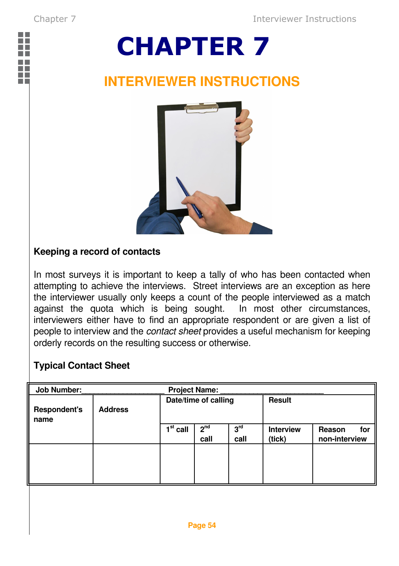

CHAPTER 7

# **INTERVIEWER INSTRUCTIONS**



### **Keeping a record of contacts**

In most surveys it is important to keep a tally of who has been contacted when attempting to achieve the interviews. Street interviews are an exception as here the interviewer usually only keeps a count of the people interviewed as a match against the quota which is being sought. In most other circumstances, interviewers either have to find an appropriate respondent or are given a list of people to interview and the contact sheet provides a useful mechanism for keeping orderly records on the resulting success or otherwise.

# **Typical Contact Sheet**

| <b>Job Number:</b>  |                | <b>Project Name:</b> |                 |                 |                  |               |
|---------------------|----------------|----------------------|-----------------|-----------------|------------------|---------------|
|                     |                | Date/time of calling |                 | Result          |                  |               |
| <b>Respondent's</b> | <b>Address</b> |                      |                 |                 |                  |               |
| name                |                |                      |                 |                 |                  |               |
|                     |                | $1st$ call           | 2 <sup>nd</sup> | 3 <sup>rd</sup> | <b>Interview</b> | for<br>Reason |
|                     |                |                      | call            | call            | (tick)           | non-interview |
|                     |                |                      |                 |                 |                  |               |
|                     |                |                      |                 |                 |                  |               |
|                     |                |                      |                 |                 |                  |               |
|                     |                |                      |                 |                 |                  |               |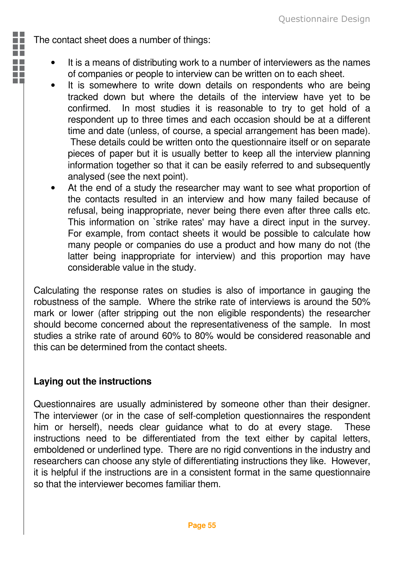The contact sheet does a number of things:

- 1 ΞF - 11 TF n e m

- It is a means of distributing work to a number of interviewers as the names of companies or people to interview can be written on to each sheet.
- It is somewhere to write down details on respondents who are being tracked down but where the details of the interview have yet to be confirmed. In most studies it is reasonable to try to get hold of a respondent up to three times and each occasion should be at a different time and date (unless, of course, a special arrangement has been made). These details could be written onto the questionnaire itself or on separate pieces of paper but it is usually better to keep all the interview planning information together so that it can be easily referred to and subsequently analysed (see the next point).
- At the end of a study the researcher may want to see what proportion of the contacts resulted in an interview and how many failed because of refusal, being inappropriate, never being there even after three calls etc. This information on `strike rates' may have a direct input in the survey. For example, from contact sheets it would be possible to calculate how many people or companies do use a product and how many do not (the latter being inappropriate for interview) and this proportion may have considerable value in the study.

Calculating the response rates on studies is also of importance in gauging the robustness of the sample. Where the strike rate of interviews is around the 50% mark or lower (after stripping out the non eligible respondents) the researcher should become concerned about the representativeness of the sample. In most studies a strike rate of around 60% to 80% would be considered reasonable and this can be determined from the contact sheets.

#### **Laying out the instructions**

Questionnaires are usually administered by someone other than their designer. The interviewer (or in the case of self-completion questionnaires the respondent him or herself), needs clear guidance what to do at every stage. These instructions need to be differentiated from the text either by capital letters, emboldened or underlined type. There are no rigid conventions in the industry and researchers can choose any style of differentiating instructions they like. However, it is helpful if the instructions are in a consistent format in the same questionnaire so that the interviewer becomes familiar them.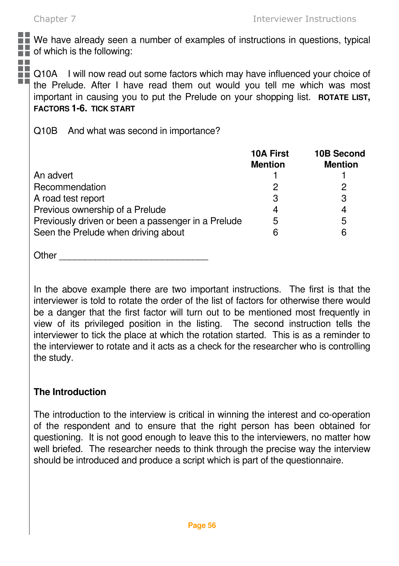

We have already seen a number of examples of instructions in questions, typical **T** of which is the following:

Q10A I will now read out some factors which may have influenced your choice of the Prelude. After I have read them out would you tell me which was most important in causing you to put the Prelude on your shopping list. **ROTATE LIST, FACTORS 1-6. TICK START**

#### Q10B And what was second in importance?

|                                                    | <b>10A First</b><br><b>Mention</b> | 10B Second<br><b>Mention</b> |
|----------------------------------------------------|------------------------------------|------------------------------|
| An advert                                          |                                    |                              |
| Recommendation                                     | 2                                  | 2                            |
| A road test report                                 | З                                  | 3                            |
| Previous ownership of a Prelude                    | 4                                  | 4                            |
| Previously driven or been a passenger in a Prelude | 5                                  | 5                            |
| Seen the Prelude when driving about                | 6                                  | 6                            |

Other

In the above example there are two important instructions. The first is that the interviewer is told to rotate the order of the list of factors for otherwise there would be a danger that the first factor will turn out to be mentioned most frequently in view of its privileged position in the listing. The second instruction tells the interviewer to tick the place at which the rotation started. This is as a reminder to the interviewer to rotate and it acts as a check for the researcher who is controlling the study.

### **The Introduction**

The introduction to the interview is critical in winning the interest and co-operation of the respondent and to ensure that the right person has been obtained for questioning. It is not good enough to leave this to the interviewers, no matter how well briefed. The researcher needs to think through the precise way the interview should be introduced and produce a script which is part of the questionnaire.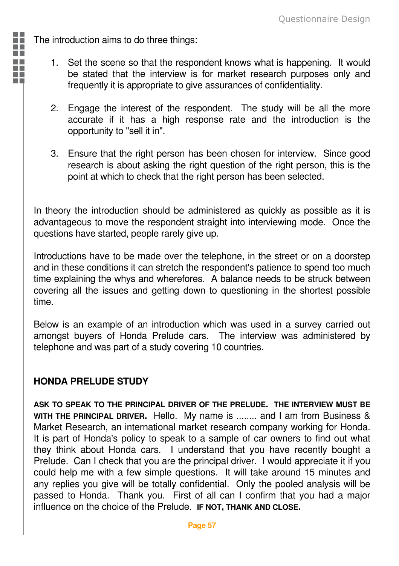The introduction aims to do three things:

n I Ŧ - 11 Ŧ

- 1. Set the scene so that the respondent knows what is happening. It would be stated that the interview is for market research purposes only and frequently it is appropriate to give assurances of confidentiality.
- 2. Engage the interest of the respondent. The study will be all the more accurate if it has a high response rate and the introduction is the opportunity to "sell it in".
- 3. Ensure that the right person has been chosen for interview. Since good research is about asking the right question of the right person, this is the point at which to check that the right person has been selected.

In theory the introduction should be administered as quickly as possible as it is advantageous to move the respondent straight into interviewing mode. Once the questions have started, people rarely give up.

Introductions have to be made over the telephone, in the street or on a doorstep and in these conditions it can stretch the respondent's patience to spend too much time explaining the whys and wherefores. A balance needs to be struck between covering all the issues and getting down to questioning in the shortest possible time.

Below is an example of an introduction which was used in a survey carried out amongst buyers of Honda Prelude cars. The interview was administered by telephone and was part of a study covering 10 countries.

### **HONDA PRELUDE STUDY**

**ASK TO SPEAK TO THE PRINCIPAL DRIVER OF THE PRELUDE. THE INTERVIEW MUST BE WITH THE PRINCIPAL DRIVER.** Hello. My name is ........ and I am from Business & Market Research, an international market research company working for Honda. It is part of Honda's policy to speak to a sample of car owners to find out what they think about Honda cars. I understand that you have recently bought a Prelude. Can I check that you are the principal driver. I would appreciate it if you could help me with a few simple questions. It will take around 15 minutes and any replies you give will be totally confidential. Only the pooled analysis will be passed to Honda. Thank you. First of all can I confirm that you had a major influence on the choice of the Prelude. **IF NOT, THANK AND CLOSE.**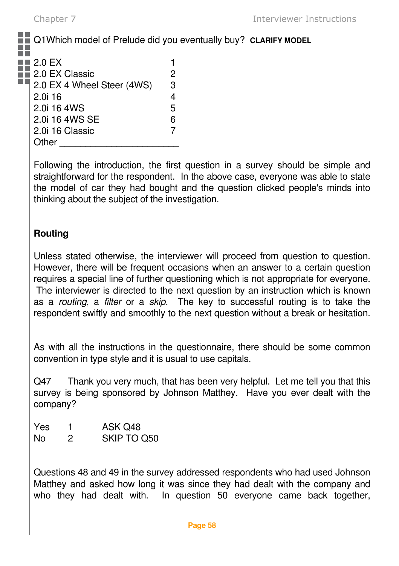m in

Q1Which model of Prelude did you eventually buy? **CLARIFY MODEL** ПT

| $2.0$ EX<br>2.0 EX Classic<br>2.0 EX 4 Wheel Steer (4WS) | 2<br>З |
|----------------------------------------------------------|--------|
| $2.0i$ 16                                                |        |
| 2.0i 16 4WS                                              | 5      |
| 2.0i 16 4WS SE                                           | հ      |
| 2.0i 16 Classic                                          |        |
| ther                                                     |        |

Following the introduction, the first question in a survey should be simple and straightforward for the respondent. In the above case, everyone was able to state the model of car they had bought and the question clicked people's minds into thinking about the subject of the investigation.

### **Routing**

Unless stated otherwise, the interviewer will proceed from question to question. However, there will be frequent occasions when an answer to a certain question requires a special line of further questioning which is not appropriate for everyone. The interviewer is directed to the next question by an instruction which is known as a routing, a filter or a skip. The key to successful routing is to take the respondent swiftly and smoothly to the next question without a break or hesitation.

As with all the instructions in the questionnaire, there should be some common convention in type style and it is usual to use capitals.

Q47 Thank you very much, that has been very helpful. Let me tell you that this survey is being sponsored by Johnson Matthey. Have you ever dealt with the company?

| Yes |   | ASK Q48     |
|-----|---|-------------|
| No  | 2 | SKIP TO Q50 |

Questions 48 and 49 in the survey addressed respondents who had used Johnson Matthey and asked how long it was since they had dealt with the company and who they had dealt with. In question 50 everyone came back together,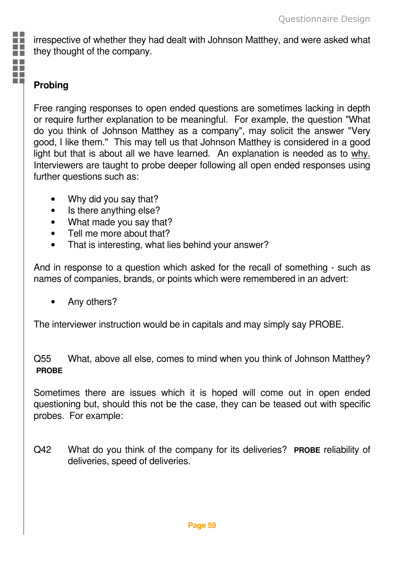irrespective of whether they had dealt with Johnson Matthey, and were asked what they thought of the company.

# **Probing**

m n m n i TF n e التاريخ n i

> Free ranging responses to open ended questions are sometimes lacking in depth or require further explanation to be meaningful. For example, the question "What do you think of Johnson Matthey as a company", may solicit the answer "Very good, I like them." This may tell us that Johnson Matthey is considered in a good light but that is about all we have learned. An explanation is needed as to why. Interviewers are taught to probe deeper following all open ended responses using further questions such as:

- Why did you say that?
- Is there anything else?
- What made you say that?
- Tell me more about that?
- That is interesting, what lies behind your answer?

And in response to a question which asked for the recall of something - such as names of companies, brands, or points which were remembered in an advert:

Any others?

The interviewer instruction would be in capitals and may simply say PROBE.

Q55 What, above all else, comes to mind when you think of Johnson Matthey? **PROBE**

Sometimes there are issues which it is hoped will come out in open ended questioning but, should this not be the case, they can be teased out with specific probes. For example:

Q42 What do you think of the company for its deliveries? **PROBE** reliability of deliveries, speed of deliveries.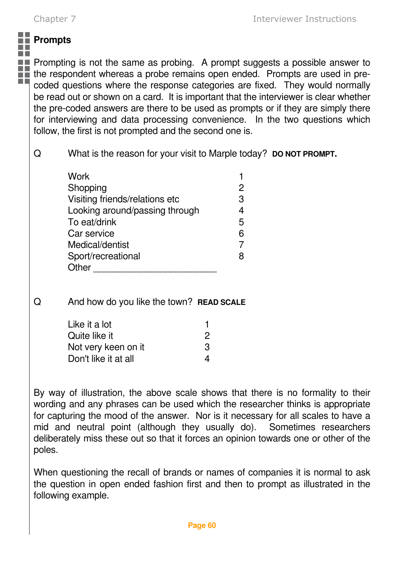#### **Prompts** a ka

a m

H.

 $\blacksquare$  Prompting is not the same as probing. A prompt suggests a possible answer to **T** the respondent whereas a probe remains open ended. Prompts are used in precoded questions where the response categories are fixed. They would normally be read out or shown on a card. It is important that the interviewer is clear whether the pre-coded answers are there to be used as prompts or if they are simply there for interviewing and data processing convenience. In the two questions which follow, the first is not prompted and the second one is.

Q What is the reason for your visit to Marple today? **DO NOT PROMPT.**

| Work                           |   |
|--------------------------------|---|
| Shopping                       |   |
| Visiting friends/relations etc | З |
| Looking around/passing through |   |
| To eat/drink                   | 5 |
| Car service                    |   |
| Medical/dentist                |   |
| Sport/recreational             |   |
| )ther                          |   |

Q And how do you like the town? **READ SCALE**

| Like it a lot        |   |
|----------------------|---|
| Quite like it        | 2 |
| Not very keen on it  | З |
| Don't like it at all |   |

By way of illustration, the above scale shows that there is no formality to their wording and any phrases can be used which the researcher thinks is appropriate for capturing the mood of the answer. Nor is it necessary for all scales to have a mid and neutral point (although they usually do). Sometimes researchers deliberately miss these out so that it forces an opinion towards one or other of the poles.

When questioning the recall of brands or names of companies it is normal to ask the question in open ended fashion first and then to prompt as illustrated in the following example.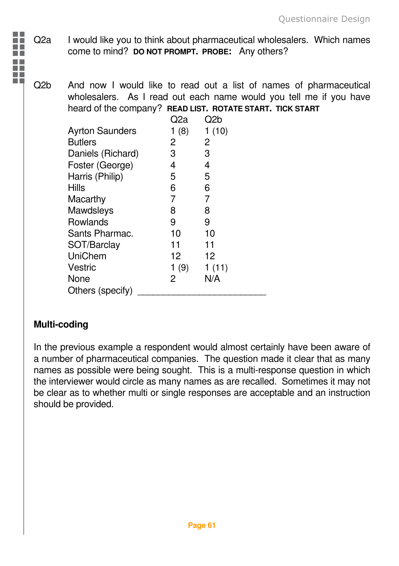Q2a I would like you to think about pharmaceutical wholesalers. Which names come to mind? **DO NOT PROMPT. PROBE:** Any others?

n F m 56 TF a pr īΠ ΠT

Q2b And now I would like to read out a list of names of pharmaceutical wholesalers. As I read out each name would you tell me if you have heard of the company? **READ LIST. ROTATE START. TICK START**

|                        | Q2a  | Q2b   |
|------------------------|------|-------|
| <b>Ayrton Saunders</b> | 1(8) | 1(10) |
| <b>Butlers</b>         | 2    | 2     |
| Daniels (Richard)      | 3    | 3     |
| Foster (George)        | 4    | 4     |
| Harris (Philip)        | 5    | 5     |
| Hills                  | 6    | 6     |
| Macarthy               |      |       |
| Mawdsleys              | 8    | 8     |
| Rowlands               | 9    | 9     |
| Sants Pharmac.         | 10   | 10    |
| SOT/Barclay            | 11   | 11    |
| UniChem                | 12   | 12    |
| Vestric                | 1(9) | 1(11) |
| None                   | 2    | N/A   |
| Others (specify)       |      |       |

# **Multi-coding**

In the previous example a respondent would almost certainly have been aware of a number of pharmaceutical companies. The question made it clear that as many names as possible were being sought. This is a multi-response question in which the interviewer would circle as many names as are recalled. Sometimes it may not be clear as to whether multi or single responses are acceptable and an instruction should be provided.